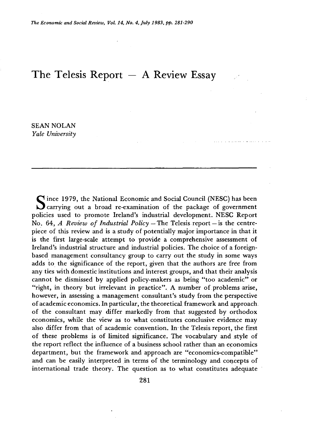# **The Telesis Report — A Review Essay**

**SEAN NOLAN**  *Yale University* 

Since 1979, the National Economic and Social Council (NESC) has been<br>carrying out a broad re-examination of the package of government **ince 1979, the National Economic and Social Council (NESC) has been policies used to promote Ireland's industrial development. NESC Report**  No. 64, *A Review of Industrial Policy* – The Telesis report – is the centre**piece of this review and is a study of potentially major importance in that it is the first large-scale attempt to provide a comprehensive assessment of Ireland's industrial structure and industrial policies. The choice of a foreignbased management consultancy group to carry out the study in some ways adds to the significance of the report, given that the authors are free from any ties with domestic institutions and interest groups, and that their analysis cannot be dismissed by applied policy-makers as being "too academic" or "right, in theory but irrelevant in practice". A number of problems arise, however, in assessing a management consultant's study from the perspective of academic economics. In particular, the theoretical framework and approach of the consultant may differ markedly from that suggested by orthodox economics, while the view as to what constitutes conclusive evidence may also differ from that of academic convention. In the Telesis report, the first of these problems is of limited significance. The vocabulary and style of the report reflect the influence of a business school rather than an economics department, but the framework and approach are "economics-compatible" and can be easily interpreted in terms of the terminology and concepts of international trade theory. The question as to what constitutes adequate**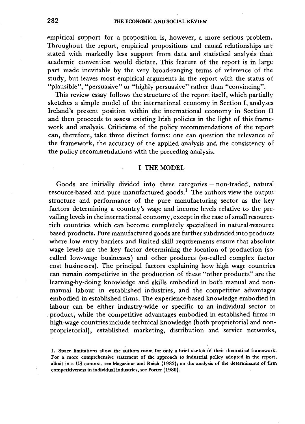**empirical support for a proposition is, however, a more serious problem. Throughout the report, empirical propositions and causal relationships are stated with markedly less support from data and statistical analysis than academic convention would dictate. This feature of the report is in large part made inevitable by the very broad-ranging terms of reference of the study, but leaves most empirical arguments in the report with the status of "plausible", "persuasive" or "highly persuasive" rather than "convincing".** 

**This review essay follows the structure of the report itself, which partially sketches a simple model of the international economy in Section I, analyses Ireland's present position within the international economy in Section If and then proceeds to assess existing Irish policies in the light of this framework and analysis. Criticisms of the policy recommendations of the report can, therefore, take three distinct forms: one can question the relevance oit the framework, the accuracy of the applied analysis and the consistency oi: the policy recommendations with the preceding analysis.** 

# **I THE MODEL**

**Goods are initially divided into three categories — non-traded, natural resource-based and pure manufactured goods.<sup>1</sup> The authors view the output structure and performance of the pure manufacturing sector as the key factors determining a country's wage and income levels relative to the prevailing levels in the international economy, except in the case of small resourcerich countries which can become completely specialised in natural-resource based products. Pure manufactured goods are further subdivided into products where low entry barriers and limited skill requirements ensure that absolute wage levels are the key factor determining the location of production (socalled low-wage businesses) and other products (so-called complex factor cost businesses). The principal factors explaining how high wage countries can remain competitive in the production of these "other products" are the learning-by-doing knowledge and skills embodied in both manual and nonmanual labour in established industries, and the competitive advantages embodied in established firms. The experience-based knowledge embodied in labour can be either industry-wide or specific to an individual sector or product, while the competitive advantages embodied in established firms in high-wage countries include technical knowledge (both proprietorial and nonproprietorial), established marketing, distribution and service networks,** 

**<sup>1.</sup> Space limitations allow the authors room for only a brief sketch of their theoretical framework. For a more comprehensive statement of the approach to industrial policy adopted in the report, albeit in a US context, see Magaziner and Reich (1982); on the analysis of the determinants of firm competitiveness in individual industries, see Porter (1980).**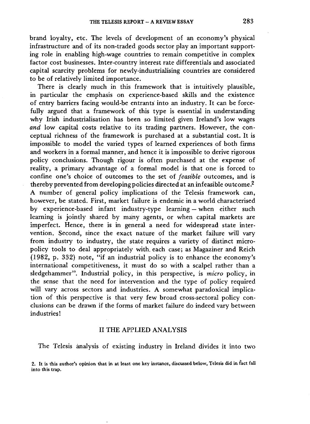**brand loyalty, etc. The levels of development of an economy's physical infrastructure and of its non-traded goods sector play an important supporting role in enabling high-wage countries to remain competitive in complex factor cost businesses. Inter-country interest rate differentials and associated capital scarcity problems for newly-industrialising countries are considered to be of relatively limited importance.** 

**There is clearly much in this framework that is intuitively plausible, in particular the emphasis on experience-based skills and the existence of entry barriers facing would-be entrants into an industry. It can be forcefully argued that a framework of this type is essential in understanding why Irish industrialisation has been so limited given Ireland's low wages**  *and* **low capital costs relative to its trading partners. However, the conceptual richness of the framework is purchased at a substantial cost. It is impossible to model the varied types of learned experiences of both firms and workers in a formal manner, and hence it is impossible to derive rigorous policy conclusions. Though rigour is often purchased at the expense of reality, a primary advantage of a formal model is that one is forced to confine one's choice of outcomes to the set of** *feasible* **outcomes, and is thereby prevented from developing policies directed at an infeasible outcome.<sup>2</sup> A number of general policy implications of the Telesis framework can, however, be stated. First, market failure is endemic in a world characterised by experience-based infant industry-type learning — when either such learning is jointly shared by many agents, or when capital markets are imperfect. Hence, there is in general a need for widespread state intervention. Second, since the exact nature of the market failure will vary from industry to industry, the state requires a variety of distinct micropolicy tools to deal appropriately with, each case; as Magaziner and Reich (1982, p. 332) note, "if an industrial policy is to enhance the economy's international competitiveness, it must do so with a scalpel rather than a sledgehammer". Industrial policy, in this perspective, is** *micro* **policy, in the sense that the need for intervention and the type of policy required will vary across sectors and industries. A somewhat paradoxical implication of this perspective is that very few broad cross-sectoral policy conclusions can be drawn if the forms of market failure do indeed vary between industries!** 

### **II THE APPLIED ANALYSIS**

**The Telesis analysis of existing industry in Ireland divides it into two** 

**<sup>2.</sup> It is this author's opinion that in at least one key instance, discussed below, Telesis did in fact fall into this trap.**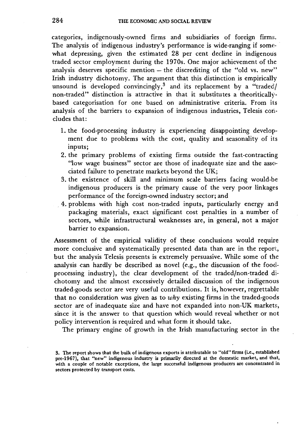**categories, indigenously-owned firms and subsidiaries of foreign firm:;. The analysis of indigenous industry's performance is wide-ranging if somewhat depressing, given the estimated 28 per cent decline in indigenous traded sector employment during the 1970s. One major achievement of the analysis deserves specific mention — the discrediting of the "old vs. new" Irish industry dichotomy. The argument that this distinction is empirically unsound is developed convincingly,<sup>3</sup> and its replacement by a "traded/ non-traded" distinction is attractive in that it substitutes a theoriticallybased categorisation for one based on administrative criteria. From its analysis of the barriers to expansion of indigenous industries, Telesis concludes that:** 

- **1. the food-processing industry is experiencing disappointing development due to problems with the cost, quality and seasonality of its inputs;**
- **2. the primary problems of existing firms outside the fast-contracting "low wage business" sector are those of inadequate size and the associated failure to penetrate markets beyond the UK;**
- **3. the existence of skill and minimum scale barriers facing would-be indigenous producers is the primary cause of the very poor linkages performance of the foreign-owned industry sector; and**
- **4. problems with high cost non-traded inputs, particularly energy and packaging materials, exact significant cost penalties in a number of sectors, while infrastructural weaknesses are, in general, not a major barrier to expansion.**

**Assessment of the empirical validity of these conclusions would require more conclusive and systematically presented data than are in the report, but the analysis Telesis presents is extremely persuasive. While some of the analysis can hardly be described as novel (e.g., the discussion of the foodprocessing industry), the clear development of the traded/non-traded dichotomy and the almost excessively detailed discussion of the indigenous traded-goods sector are very useful contributions. It is, however, regrettable that no consideration was given as to** *why* **existing firms in the traded-goods sector are of inadequate size and have not expanded into non-UK markets, since it is the answer to that question which would reveal whether or not policy intervention is required and what form it should take.** 

**The primary engine of growth in the Irish manufacturing sector in the** 

**<sup>3.</sup> The report shows that the bulk of indigenous exports is attributable to "old" firms (i.e., established pre-1967), that "new" indigenous industry is primarily directed at the domestic market, and that, with a couple of notable exceptions, the large successful indigenous producers are concentrated in sectors protected by transport costs.**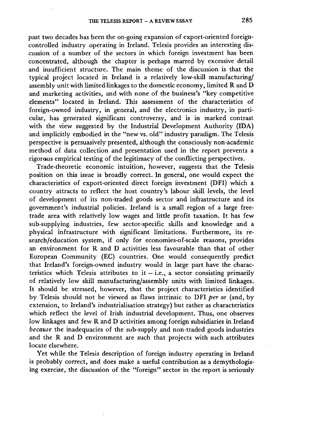**past two decades has been the on-going expansion of export-oriented foreigncontrolled industry operating in Ireland. Telesis provides an interesting discussion of a number of the sectors in which foreign investment has been concentrated, although the chapter is perhaps marred by excessive detail and insufficient structure. The main theme of the discussion is that the typical project located in Ireland is a relatively low-skill manufacturing/ assembly unit with limited linkages to the domestic economy, limited R and D and marketing activities, and with none of the business's "key competitive elements" located in Ireland. This assessment of the characteristics of foreign-owned industry, in general, and the electronics industry, in particular, has generated significant controversy, and is in marked contrast**  with the view suggested by the Industrial Development Authority (IDA) **and implicitly embodied in the "new vs. old" industry paradigm. The Telesis perspective is persuasively presented, although the consciously non-academic method of data collection and presentation used in the report prevents a rigoraus empirical testing of the legitimacy of the conflicting perspectives.** 

**Trade-theoretic economic intuition, however, suggests that the Telesis position on this issue is broadly correct. In general, one would expect the characteristics of export-oriented direct foreign investment (DFI) which a country attracts to reflect the host country's labour skill levels, the level of development of its non-traded goods sector and infrastructure and its government's industrial policies. Ireland is a small region of a large freetrade area with relatively low wages and little profit taxation. It has few sub-supplying industries, few sector-specific skills and knowledge and a physical infrastructure with significant limitations. Furthermore, its research/education system, if only for economies-of-scale reasons, provides an environment for R and D activities less favourable than that of other European Community (EC) countries. One would consequently predict that Ireland's foreign-owned industry would in large part have the characteristics which Telesis attributes to it — i.e., a sector consisting primarily of relatively low skill manufacturing/assembly units with limited linkages. It should be stressed, however, that the project characteristics identified by Telesis should not be viewed as flaws intrinsic to DFI** *per se* **(and, by extension, to Ireland's industrialisation strategy) but rather as characteristics which reflect the level of Irish industrial development. Thus, one observes low linkages and few R and D activities among foreign subsidiaries in Ireland**  *because* **the inadequacies of the sub-supply and non-traded goods industries and the R and D environment are such that projects with such attributes locate elsewhere.** 

**Yet while the Telesis description of foreign industry operating in Ireland is probably correct, and does make a useful contribution as a demythologising exercise, the discussion of the "foreign" sector in the report is seriously**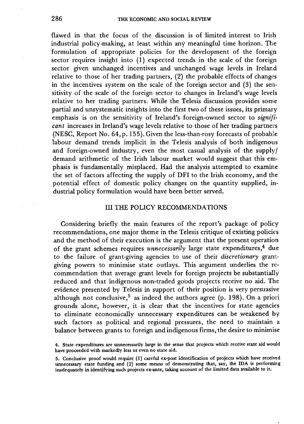**flawed in that the focus of the discussion is of limited interest to Irish industrial policy-making, at least within any meaningful time horizon. The formulation of appropriate policies for the development of the foreign sector requires insight into (1) expected trends in the scale of the foreign sector given unchanged incentives and unchanged wage levels in Ireland relative to those of her trading partners, (2) the probable effects of changes in the incentives system on the scale of the foreign sector and (3) the sensitivity of the scale of the foreign sector to changes in Ireland's wage levels relative to her trading partners. While the Telesis discussion provides some partial and unsystematic insights into the first two of these issues, its primary emphasis is on the sensitivity of Ireland's foreign-owned sector to** *significant* **increases in Ireland's wage levels relative to those of her trading partners (NESC, Report No. 64,p. 155). Given the less-than-rosy forecasts of probable labour demand trends implicit in the Telesis analysis of both indigenous and foreign-owned industry, even the most casual analysis of the supply/ demand arithmetic of the Irish labour market would suggest that this emphasis is fundamentally misplaced. Had the analysis attempted to examine the set of factors affecting the supply of DFI to the Irish economy, and the potential effect of domestic policy changes on the quantity supplied, industrial policy formulation would have been better served.** 

### **III THE POLICY RECOMMENDATIONS**

**Considering briefly the main features of the report's package of policy recommendations, one major theme in the Telesis critique of existing policies and the method of their execution is the argument that the present operation of the grant schemes requires** *unnecessarily* **large state expenditures,<sup>4</sup> due to the failure of grant-giving agencies to use of their** *discretionary* **grantgiving powers to minimise state outlays. This argument underlies the recommendation that average grant levels for foreign projects be substantially reduced and that indigenous non-traded goods projects receive no aid. The evidence presented by Telesis in support of their position is very persuasive although not conclusive,<sup>5</sup> as indeed the authors agree (p. 198). On a priori grounds alone, however, it is clear that the incentives for state agencies to eliminate economically unnecessary expenditures can be weakened by such factors as political and regional pressures, the need to maintain a balance between grants to foreign and indigenous firms, the desire to minimise** 

**<sup>4.</sup> State expenditures are unnecessarily large in the sense that projects which receive state aid would have proceeded with markedly less or even no state aid.** 

**<sup>5.</sup> Conclusive proof would require (1) careful ex-post identification of projects which have received unnecessary state funding and (2) some means of demonstrating that, say, the IDA is performing inadequately in identifying such projects ex-ante, taking account of the limited data available to it.**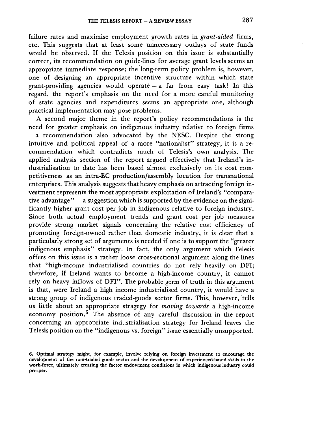**failure rates and maximise employment growth rates in** *grant-aided* **firms, etc. This suggests that at least some unnecessary outlays of state funds would be observed. If the Telesis position on this issue is substantially correct, its recommendation on guide-lines for average grant levels seems an appropriate immediate response; the long-term policy problem is, however, one of designing an appropriate incentive structure within which state grant-providing agencies would operate — a far from easy task! In this regard, the report's emphasis on the need for a more careful monitoring of state agencies and expenditures seems an appropriate one, although practical implementation may pose problems.** 

**A second major theme in the report's policy recommendations is the need for greater emphasis on indigenous industry relative to foreign firms — a recommendation also advocated by the NESC. Despite the strong intuitive and political appeal of a more "nationalist" strategy, it is a recommendation which contradicts much of Telesis's own analysis. The applied analysis section of the report argued effectively that Ireland's industrialisation to date has been based almost exclusively on its cost competitiveness as an intra-EC production/assembly location for transnational enterprises. This analysis suggests that heavy emphasis on attracting foreign investment represents the most appropriate exploitation of Ireland's "comparative advantage" — a suggestion which is supported by the evidence on the significantly higher grant cost per job in indigenous relative to foreign industry. Since both actual employment trends and grant cost per job measures provide strong market signals concerning the relative cost efficiency of promoting foreign-owned rather than domestic industry, it is clear that a particularly strong set of arguments is needed if one is to support the "greater indigenous emphasis" strategy. In fact, the only argument which Telesis offers on this issue is a rather loose cross-sectional argument along the lines that "high-income industrialised countries do not rely heavily on DFI; therefore, if Ireland wants to become a high-income country, it cannot rely on heavy inflows of DFI". The probable germ of truth in this argument is that, were Ireland a high income industrialised country, it would have a strong group of indigenous traded-goods sector firms. This, however, tells us little about an appropriate stragegy for** *moving towards* **a high-income economy position.<sup>6</sup> The absence of any careful discussion in the report concerning an appropriate industrialisation strategy for Ireland leaves the Telesis position on the "indigenous vs. foreign" issue essentially unsupported.** 

**<sup>6.</sup> Optimal strategy might, for example, involve relying on foreign investment to encourage the development of the non-traded goods sector and the development of experienced-based skills in the work-force, ultimately creating the factor endowment conditions in which indigenous industry could prosper.**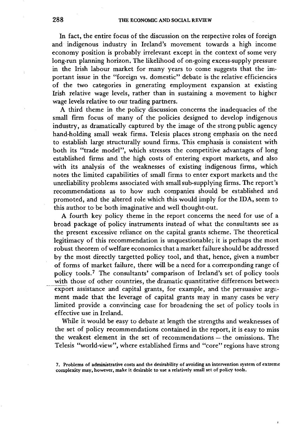**In fact, the entire focus of the discussion on the respective roles of foreign and indigenous industry in Ireland's movement towards a high income economy position is probably irrelevant except in the context of some very long-run planning horizon. The likelihood of on-going excess-supply pressure in the Irish labour market for many years to come suggests that the important issue in the "foreign vs. domestic" debate is the relative efficiencies of the two categories in generating employment expansion at existing**  Irish relative wage levels, rather than in sustaining a movement to higher **wage levels relative to our trading partners.** 

**A third theme in the policy discussion concerns the inadequacies of the small firm focus of many of the policies designed to develop indigenous industry, as dramatically captured by the image of the strong public agency hand-holding small weak firms. Telesis places strong emphasis on the need to establish large structurally sound firms. This emphasis is consistent with both its "trade model", which stresses the competitive advantages of long established firms and the high costs of entering export markets, and also with its analysis of the weaknesses of existing indigenous firms, which notes the limited capabilities of small firms to enter export markets and the unreliability problems associated with small sub-supplying firms. The report's recommendations as to how such companies should be established and promoted, and the altered role which this would imply for the IDA, seem to this author to be both imaginative and well thought-out.** 

**A fourth key policy theme in the report concerns the need for use of a broad package of policy instruments instead of what the consultants see as the present excessive reliance on the capital grants scheme. The theoretical legitimacy of this recommendation is unquestionable; it is perhaps the most robust theorem of welfare economics that a market failure should be addressed by the most directly targetted policy tool, and that, hence, given a number of forms of market failure, there will be a need for a corresponding range of policy tools.<sup>7</sup> The consultants' comparison of Ireland's set of policy tools with those of other countries, the dramatic quantitative differences between export assistance and capital grants, for example, and the persuasive argument made that the leverage of capital grants may in many cases be very limited provide a convincing case for broadening the set of policy tools in effective use in Ireland.** 

**While it would be easy to debate at length the strengths and weaknesses of the set of policy recommendations contained in the report, it is easy to miss the weakest element in the set of recommendations — the omissions. The Telesis "world-view", where established firms and "core" regions have strong** 

**<sup>7.</sup> Problems of administrative costs and the desirability of avoiding an intervention system of extreme complexity may, however, make it desirable to use a relatively small set of policy tools.**